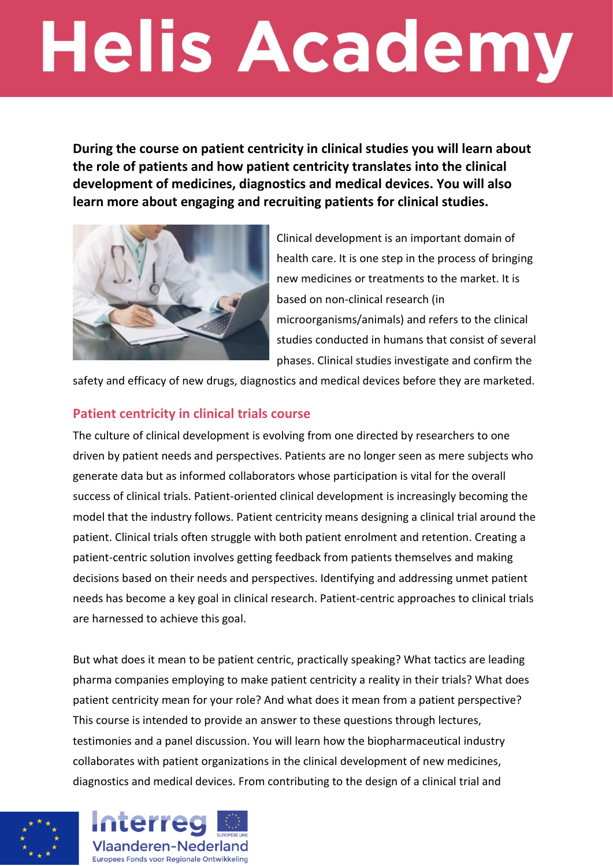## **Helis Academy**

**During the course on patient centricity in clinical studies you will learn about the role of patients and how patient centricity translates into the clinical development of medicines, diagnostics and medical devices. You will also learn more about engaging and recruiting patients for clinical studies.**



Clinical development is an important domain of health care. It is one step in the process of bringing new medicines or treatments to the market. It is based on non-clinical research (in microorganisms/animals) and refers to the clinical studies conducted in humans that consist of several phases. Clinical studies investigate and confirm the

safety and efficacy of new drugs, diagnostics and medical devices before they are marketed.

## **Patient centricity in clinical trials course**

The culture of clinical development is evolving from one directed by researchers to one driven by patient needs and perspectives. Patients are no longer seen as mere subjects who generate data but as informed collaborators whose participation is vital for the overall success of clinical trials. Patient-oriented clinical development is increasingly becoming the model that the industry follows. Patient centricity means designing a clinical trial around the patient. Clinical trials often struggle with both patient enrolment and retention. Creating a patient-centric solution involves getting feedback from patients themselves and making decisions based on their needs and perspectives. Identifying and addressing unmet patient needs has become a key goal in clinical research. Patient-centric approaches to clinical trials are harnessed to achieve this goal.

But what does it mean to be patient centric, practically speaking? What tactics are leading pharma companies employing to make patient centricity a reality in their trials? What does patient centricity mean for your role? And what does it mean from a patient perspective? This course is intended to provide an answer to these questions through lectures, testimonies and a panel discussion. You will learn how the biopharmaceutical industry collaborates with patient organizations in the clinical development of new medicines, diagnostics and medical devices. From contributing to the design of a clinical trial and